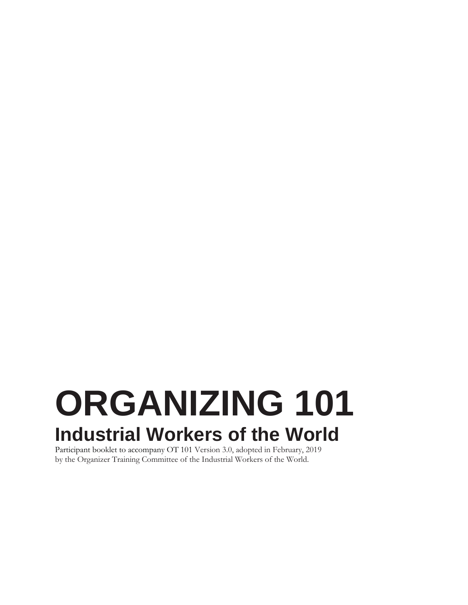# **ORGANIZING 101 Industrial Workers of the World**

Participant booklet to accompany OT 101 Version 3.0, adopted in February, 2019 by the Organizer Training Committee of the Industrial Workers of the World.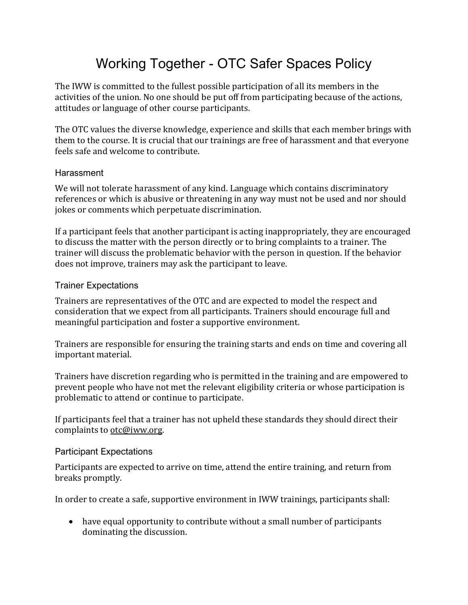### Working Together - OTC Safer Spaces Policy

The IWW is committed to the fullest possible participation of all its members in the activities of the union. No one should be put off from participating because of the actions, attitudes or language of other course participants.

The OTC values the diverse knowledge, experience and skills that each member brings with them to the course. It is crucial that our trainings are free of harassment and that everyone feels safe and welcome to contribute.

#### **Harassment**

We will not tolerate harassment of any kind. Language which contains discriminatory references or which is abusive or threatening in any way must not be used and nor should jokes or comments which perpetuate discrimination.

If a participant feels that another participant is acting inappropriately, they are encouraged to discuss the matter with the person directly or to bring complaints to a trainer. The trainer will discuss the problematic behavior with the person in question. If the behavior does not improve, trainers may ask the participant to leave.

#### Trainer Expectations

Trainers are representatives of the OTC and are expected to model the respect and consideration that we expect from all participants. Trainers should encourage full and meaningful participation and foster a supportive environment.

Trainers are responsible for ensuring the training starts and ends on time and covering all important material.

Trainers have discretion regarding who is permitted in the training and are empowered to prevent people who have not met the relevant eligibility criteria or whose participation is problematic to attend or continue to participate.

If participants feel that a trainer has not upheld these standards they should direct their complaints to [otc@iww.org.](mailto:otc@iww.org) 

#### Participant Expectations

Participants are expected to arrive on time, attend the entire training, and return from breaks promptly.

In order to create a safe, supportive environment in IWW trainings, participants shall:

• have equal opportunity to contribute without a small number of participants dominating the discussion.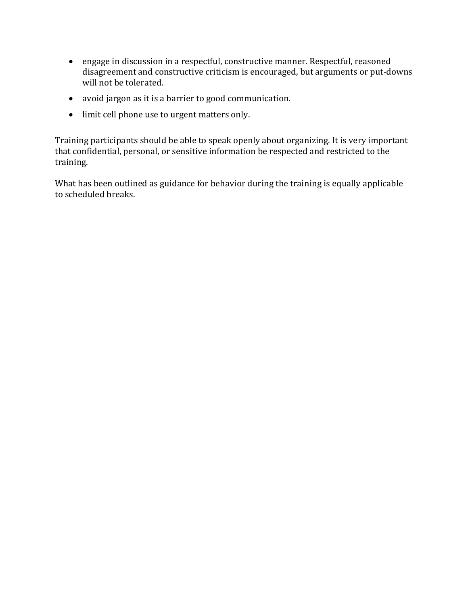- engage in discussion in a respectful, constructive manner. Respectful, reasoned disagreement and constructive criticism is encouraged, but arguments or put-downs will not be tolerated.
- avoid jargon as it is a barrier to good communication.
- limit cell phone use to urgent matters only.

Training participants should be able to speak openly about organizing. It is very important that confidential, personal, or sensitive information be respected and restricted to the training.

What has been outlined as guidance for behavior during the training is equally applicable to scheduled breaks.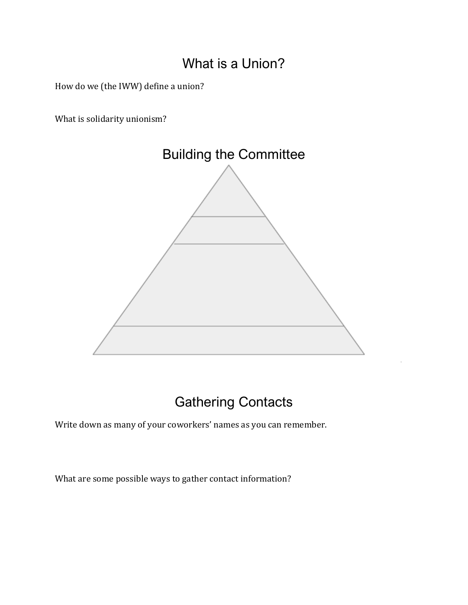#### What is a Union?

How do we (the IWW) define a union?

What is solidarity unionism?



### Gathering Contacts

Write down as many of your coworkers' names as you can remember.

What are some possible ways to gather contact information?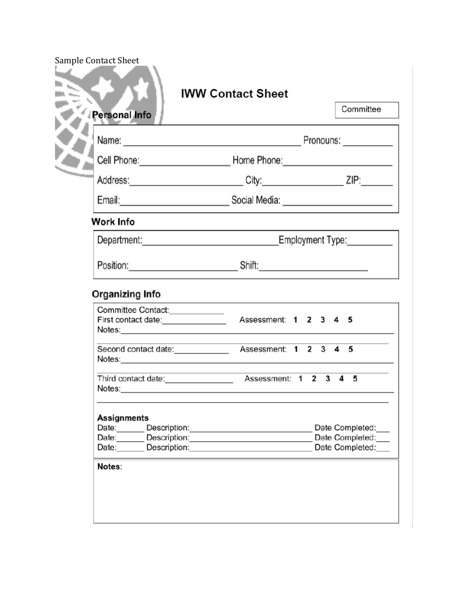| Personal Info                           |                                                                                                                                                                                                                                | Committee                          |
|-----------------------------------------|--------------------------------------------------------------------------------------------------------------------------------------------------------------------------------------------------------------------------------|------------------------------------|
|                                         |                                                                                                                                                                                                                                |                                    |
|                                         | Cell Phone: Now are the Home Phone: Now are the Cell Phone: Now are the Cell Phone of the Cell Allen Community of the Cell Allen Community of the Cell Allen Community of the Cell Allen Community of the Cell Allen Community |                                    |
| <b><i><u>Provincial Control</u></i></b> | Address: ZIP: 2IP: 2IP:                                                                                                                                                                                                        |                                    |
|                                         | Email: <u>________________________________</u> Social Media: __________________________                                                                                                                                        |                                    |
| Work Info                               |                                                                                                                                                                                                                                |                                    |
|                                         |                                                                                                                                                                                                                                |                                    |
|                                         |                                                                                                                                                                                                                                |                                    |
| Committee Contact:_____________         |                                                                                                                                                                                                                                |                                    |
|                                         |                                                                                                                                                                                                                                |                                    |
|                                         | the control of the control of the control of                                                                                                                                                                                   |                                    |
|                                         |                                                                                                                                                                                                                                |                                    |
| Assignments                             |                                                                                                                                                                                                                                |                                    |
| Date:______                             | Description: <u>______________________</u><br>Date: Description:                                                                                                                                                               | Date Completed:<br>Date Completed: |
|                                         |                                                                                                                                                                                                                                | Date Completed:                    |
| Date: Description:                      |                                                                                                                                                                                                                                |                                    |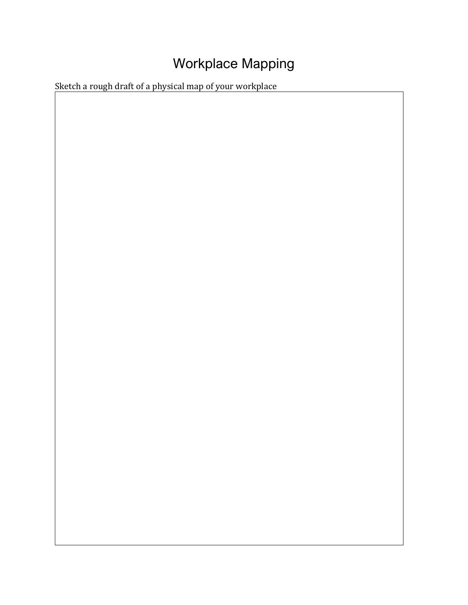## Workplace Mapping

Sketch a rough draft of a physical map of your workplace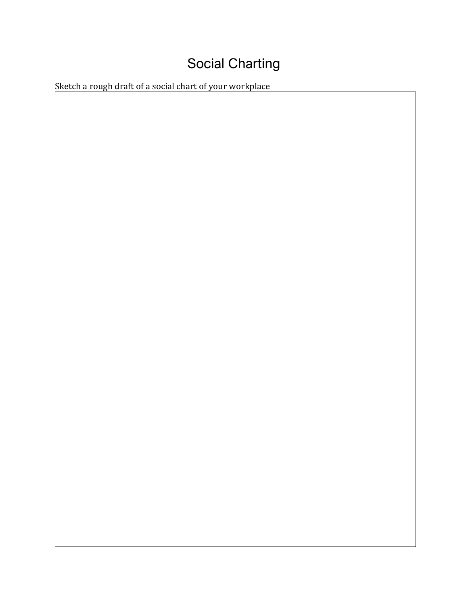# Social Charting

Sketch a rough draft of a social chart of your workplace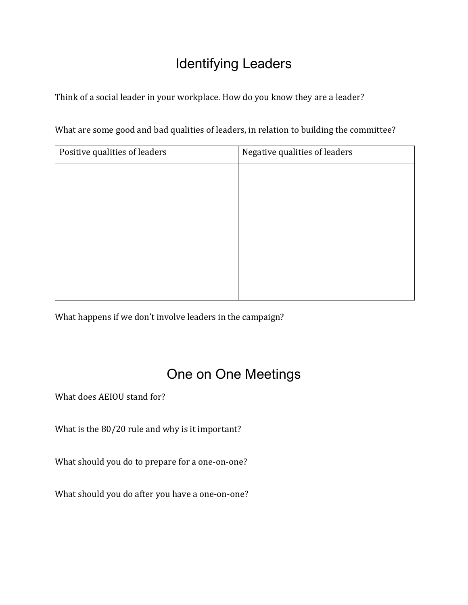### Identifying Leaders

Think of a social leader in your workplace. How do you know they are a leader?

| What are some good and bad qualities of leaders, in relation to building the committee? |  |
|-----------------------------------------------------------------------------------------|--|
|-----------------------------------------------------------------------------------------|--|

| Positive qualities of leaders<br>Negative qualities of leaders |  |
|----------------------------------------------------------------|--|
|                                                                |  |
|                                                                |  |
|                                                                |  |
|                                                                |  |
|                                                                |  |
|                                                                |  |
|                                                                |  |
|                                                                |  |

What happens if we don't involve leaders in the campaign?

#### One on One Meetings

What does AEIOU stand for?

What is the 80/20 rule and why is it important?

What should you do to prepare for a one-on-one?

What should you do after you have a one-on-one?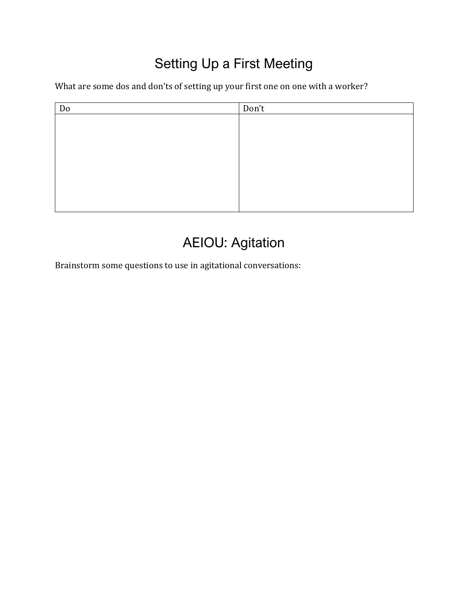### Setting Up a First Meeting

What are some dos and don'ts of setting up your first one on one with a worker?

| Do | Don't |
|----|-------|
|    |       |
|    |       |
|    |       |
|    |       |
|    |       |
|    |       |
|    |       |
|    |       |

### AEIOU: Agitation

Brainstorm some questions to use in agitational conversations: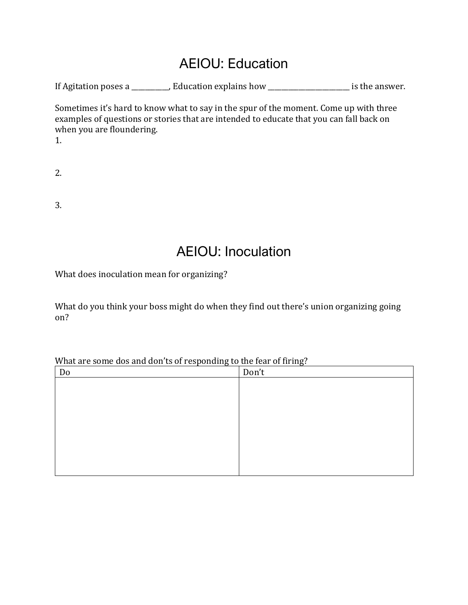#### AEIOU: Education

If Agitation poses a \_\_\_\_\_\_\_\_\_, Education explains how \_\_\_\_\_\_\_\_\_\_\_\_\_\_\_\_\_\_\_\_\_\_\_ is the answer.

Sometimes it's hard to know what to say in the spur of the moment. Come up with three examples of questions or stories that are intended to educate that you can fall back on when you are floundering.

1.

| ٠ |  |
|---|--|
| ı |  |
|   |  |

3.

#### AEIOU: Inoculation

What does inoculation mean for organizing?

What do you think your boss might do when they find out there's union organizing going on?

What are some dos and don'ts of responding to the fear of firing?

| Do | Don't |
|----|-------|
|    |       |
|    |       |
|    |       |
|    |       |
|    |       |
|    |       |
|    |       |
|    |       |
|    |       |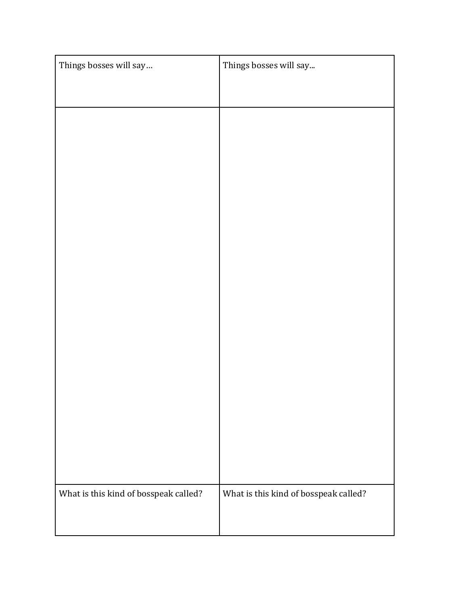| Things bosses will say                | Things bosses will say                |
|---------------------------------------|---------------------------------------|
|                                       |                                       |
|                                       |                                       |
|                                       |                                       |
|                                       |                                       |
|                                       |                                       |
|                                       |                                       |
|                                       |                                       |
|                                       |                                       |
|                                       |                                       |
|                                       |                                       |
|                                       |                                       |
|                                       |                                       |
|                                       |                                       |
|                                       |                                       |
| What is this kind of bosspeak called? | What is this kind of bosspeak called? |
|                                       |                                       |
|                                       |                                       |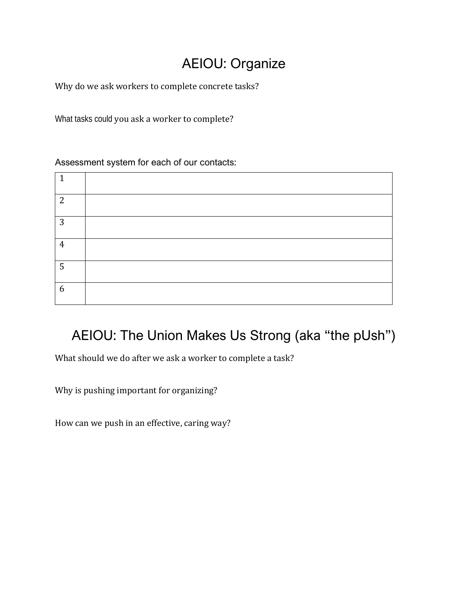### AEIOU: Organize

Why do we ask workers to complete concrete tasks?

What tasks could you ask a worker to complete?

Assessment system for each of our contacts:

| -1             |  |
|----------------|--|
| 2              |  |
| 3              |  |
| $\overline{4}$ |  |
| 5              |  |
| 6              |  |

#### AEIOU: The Union Makes Us Strong (aka "the pUsh")

What should we do after we ask a worker to complete a task?

Why is pushing important for organizing?

How can we push in an effective, caring way?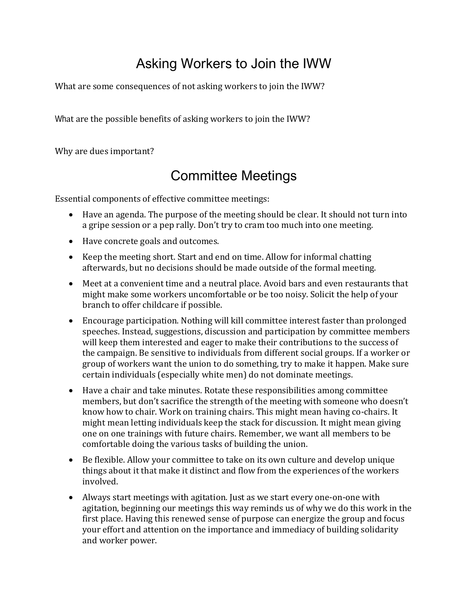### Asking Workers to Join the IWW

What are some consequences of not asking workers to join the IWW?

What are the possible benefits of asking workers to join the IWW?

Why are dues important?

#### Committee Meetings

Essential components of effective committee meetings:

- Have an agenda. The purpose of the meeting should be clear. It should not turn into a gripe session or a pep rally. Don't try to cram too much into one meeting.
- Have concrete goals and outcomes.
- Keep the meeting short. Start and end on time. Allow for informal chatting afterwards, but no decisions should be made outside of the formal meeting.
- Meet at a convenient time and a neutral place. Avoid bars and even restaurants that might make some workers uncomfortable or be too noisy. Solicit the help of your branch to offer childcare if possible.
- Encourage participation. Nothing will kill committee interest faster than prolonged speeches. Instead, suggestions, discussion and participation by committee members will keep them interested and eager to make their contributions to the success of the campaign. Be sensitive to individuals from different social groups. If a worker or group of workers want the union to do something, try to make it happen. Make sure certain individuals (especially white men) do not dominate meetings.
- Have a chair and take minutes. Rotate these responsibilities among committee members, but don't sacrifice the strength of the meeting with someone who doesn't know how to chair. Work on training chairs. This might mean having co-chairs. It might mean letting individuals keep the stack for discussion. It might mean giving one on one trainings with future chairs. Remember, we want all members to be comfortable doing the various tasks of building the union.
- Be flexible. Allow your committee to take on its own culture and develop unique things about it that make it distinct and flow from the experiences of the workers involved.
- Always start meetings with agitation. Just as we start every one-on-one with agitation, beginning our meetings this way reminds us of why we do this work in the first place. Having this renewed sense of purpose can energize the group and focus your effort and attention on the importance and immediacy of building solidarity and worker power.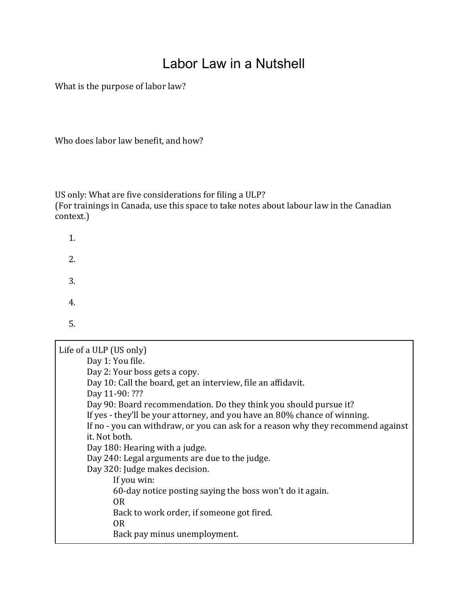#### Labor Law in a Nutshell

What is the purpose of labor law?

Who does labor law benefit, and how?

1.

2.

3.

US only: What are five considerations for filing a ULP? (For trainings in Canada, use this space to take notes about labour law in the Canadian context.)

| 4.                                                                               |
|----------------------------------------------------------------------------------|
| 5.                                                                               |
| Life of a ULP (US only)                                                          |
| Day 1: You file.                                                                 |
| Day 2: Your boss gets a copy.                                                    |
| Day 10: Call the board, get an interview, file an affidavit.                     |
| Day 11-90: ???                                                                   |
| Day 90: Board recommendation. Do they think you should pursue it?                |
| If yes - they'll be your attorney, and you have an 80% chance of winning.        |
| If no - you can withdraw, or you can ask for a reason why they recommend against |
| it. Not both.                                                                    |
| Day 180: Hearing with a judge.                                                   |
| Day 240: Legal arguments are due to the judge.                                   |
| Day 320: Judge makes decision.                                                   |
| If you win:                                                                      |
| 60-day notice posting saying the boss won't do it again.                         |
| OR.                                                                              |
| Back to work order, if someone got fired.                                        |
| 0 <sub>R</sub>                                                                   |
| Back pay minus unemployment.                                                     |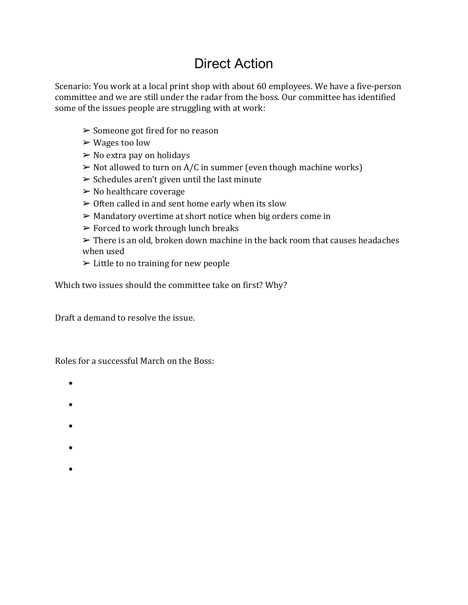#### Direct Action

Scenario: You work at a local print shop with about 60 employees. We have a five-person committee and we are still under the radar from the boss. Our committee has identified some of the issues people are struggling with at work:

- ➢ Someone got fired for no reason
- $\triangleright$  Wages too low
- $\triangleright$  No extra pay on holidays
- $\triangleright$  Not allowed to turn on A/C in summer (even though machine works)
- $\triangleright$  Schedules aren't given until the last minute
- $\triangleright$  No healthcare coverage
- $\triangleright$  Often called in and sent home early when its slow
- $\triangleright$  Mandatory overtime at short notice when big orders come in
- $\triangleright$  Forced to work through lunch breaks
- $\triangleright$  There is an old, broken down machine in the back room that causes headaches when used
- $\triangleright$  Little to no training for new people

Which two issues should the committee take on first? Why?

Draft a demand to resolve the issue.

Roles for a successful March on the Boss:

- -
- •
- •
- 
- •
- •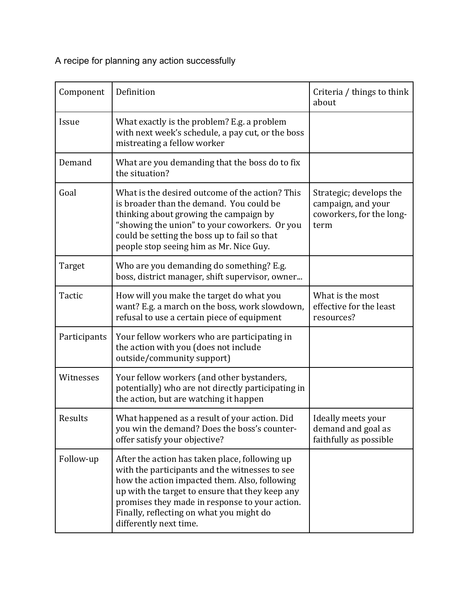A recipe for planning any action successfully

| Component    | Definition                                                                                                                                                                                                                                                                                                                   | Criteria / things to think<br>about                                               |
|--------------|------------------------------------------------------------------------------------------------------------------------------------------------------------------------------------------------------------------------------------------------------------------------------------------------------------------------------|-----------------------------------------------------------------------------------|
| Issue        | What exactly is the problem? E.g. a problem<br>with next week's schedule, a pay cut, or the boss<br>mistreating a fellow worker                                                                                                                                                                                              |                                                                                   |
| Demand       | What are you demanding that the boss do to fix<br>the situation?                                                                                                                                                                                                                                                             |                                                                                   |
| Goal         | What is the desired outcome of the action? This<br>is broader than the demand. You could be<br>thinking about growing the campaign by<br>"showing the union" to your coworkers. Or you<br>could be setting the boss up to fail so that<br>people stop seeing him as Mr. Nice Guy.                                            | Strategic; develops the<br>campaign, and your<br>coworkers, for the long-<br>term |
| Target       | Who are you demanding do something? E.g.<br>boss, district manager, shift supervisor, owner                                                                                                                                                                                                                                  |                                                                                   |
| Tactic       | How will you make the target do what you<br>want? E.g. a march on the boss, work slowdown,<br>refusal to use a certain piece of equipment                                                                                                                                                                                    | What is the most<br>effective for the least<br>resources?                         |
| Participants | Your fellow workers who are participating in<br>the action with you (does not include<br>outside/community support)                                                                                                                                                                                                          |                                                                                   |
| Witnesses    | Your fellow workers (and other bystanders,<br>potentially) who are not directly participating in<br>the action, but are watching it happen                                                                                                                                                                                   |                                                                                   |
| Results      | What happened as a result of your action. Did<br>you win the demand? Does the boss's counter-<br>offer satisfy your objective?                                                                                                                                                                                               | Ideally meets your<br>demand and goal as<br>faithfully as possible                |
| Follow-up    | After the action has taken place, following up<br>with the participants and the witnesses to see<br>how the action impacted them. Also, following<br>up with the target to ensure that they keep any<br>promises they made in response to your action.<br>Finally, reflecting on what you might do<br>differently next time. |                                                                                   |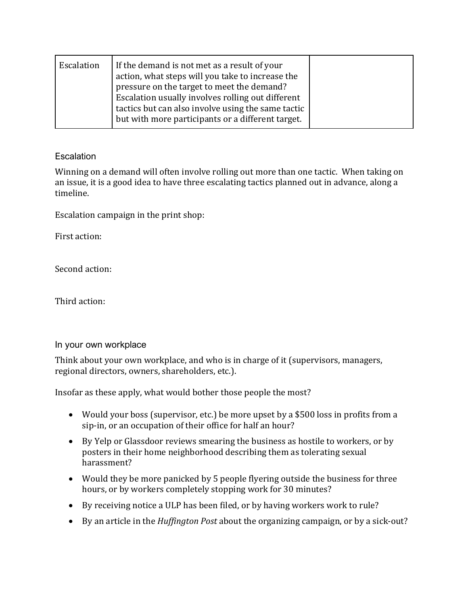| Escalation | If the demand is not met as a result of your<br>action, what steps will you take to increase the<br>pressure on the target to meet the demand? |  |
|------------|------------------------------------------------------------------------------------------------------------------------------------------------|--|
|            | Escalation usually involves rolling out different                                                                                              |  |
|            | tactics but can also involve using the same tactic<br>but with more participants or a different target.                                        |  |

#### **Escalation**

Winning on a demand will often involve rolling out more than one tactic. When taking on an issue, it is a good idea to have three escalating tactics planned out in advance, along a timeline.

Escalation campaign in the print shop:

First action:

Second action:

Third action:

#### In your own workplace

Think about your own workplace, and who is in charge of it (supervisors, managers, regional directors, owners, shareholders, etc.).

Insofar as these apply, what would bother those people the most?

- Would your boss (supervisor, etc.) be more upset by a \$500 loss in profits from a sip-in, or an occupation of their office for half an hour?
- By Yelp or Glassdoor reviews smearing the business as hostile to workers, or by posters in their home neighborhood describing them as tolerating sexual harassment?
- Would they be more panicked by 5 people flyering outside the business for three hours, or by workers completely stopping work for 30 minutes?
- By receiving notice a ULP has been filed, or by having workers work to rule?
- By an article in the *Huffington Post* about the organizing campaign, or by a sick-out?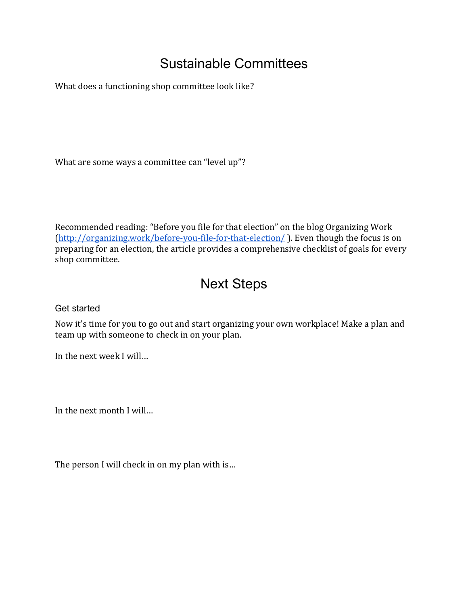#### Sustainable Committees

What does a functioning shop committee look like?

What are some ways a committee can "level up"?

Recommended reading: "Before you file for that election" on the blog Organizing Work [\(http://organizing.work/before-you-file-for-that-election/](http://organizing.work/before-you-file-for-that-election/)). Even though the focus is on preparing for an election, the article provides a comprehensive checklist of goals for every shop committee.

#### Next Steps

Get started

Now it's time for you to go out and start organizing your own workplace! Make a plan and team up with someone to check in on your plan.

In the next week I will…

In the next month I will…

The person I will check in on my plan with is…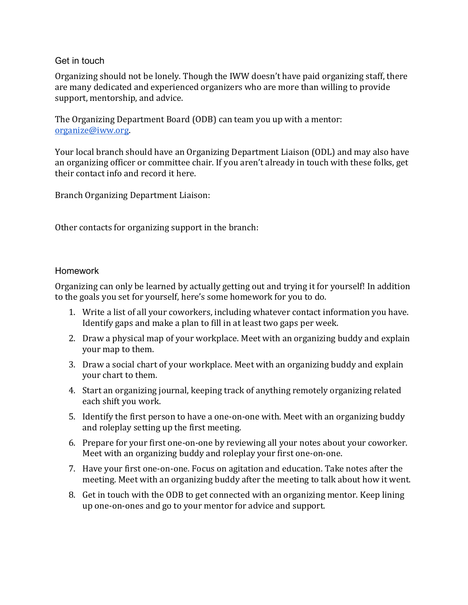#### Get in touch

Organizing should not be lonely. Though the IWW doesn't have paid organizing staff, there are many dedicated and experienced organizers who are more than willing to provide support, mentorship, and advice.

The Organizing Department Board (ODB) can team you up with a mentor: [organize@iww.org.](mailto:organize@iww.org)

Your local branch should have an Organizing Department Liaison (ODL) and may also have an organizing officer or committee chair. If you aren't already in touch with these folks, get their contact info and record it here.

Branch Organizing Department Liaison:

Other contacts for organizing support in the branch:

#### Homework

Organizing can only be learned by actually getting out and trying it for yourself! In addition to the goals you set for yourself, here's some homework for you to do.

- 1. Write a list of all your coworkers, including whatever contact information you have. Identify gaps and make a plan to fill in at least two gaps per week.
- 2. Draw a physical map of your workplace. Meet with an organizing buddy and explain your map to them.
- 3. Draw a social chart of your workplace. Meet with an organizing buddy and explain your chart to them.
- 4. Start an organizing journal, keeping track of anything remotely organizing related each shift you work.
- 5. Identify the first person to have a one-on-one with. Meet with an organizing buddy and roleplay setting up the first meeting.
- 6. Prepare for your first one-on-one by reviewing all your notes about your coworker. Meet with an organizing buddy and roleplay your first one-on-one.
- 7. Have your first one-on-one. Focus on agitation and education. Take notes after the meeting. Meet with an organizing buddy after the meeting to talk about how it went.
- 8. Get in touch with the ODB to get connected with an organizing mentor. Keep lining up one-on-ones and go to your mentor for advice and support.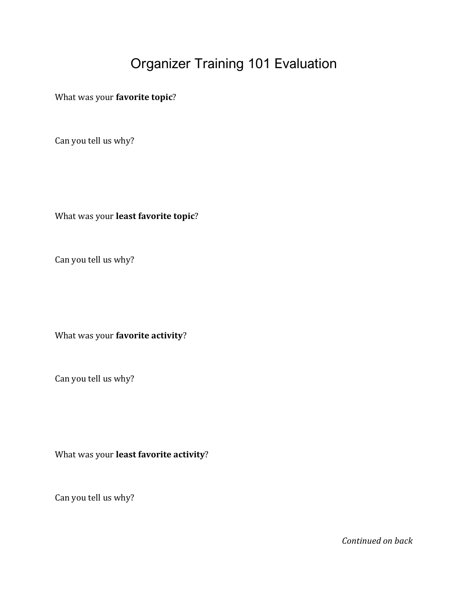#### Organizer Training 101 Evaluation

What was your **favorite topic**?

Can you tell us why?

What was your **least favorite topic**?

Can you tell us why?

What was your **favorite activity**?

Can you tell us why?

What was your **least favorite activity**?

Can you tell us why?

*Continued on back*